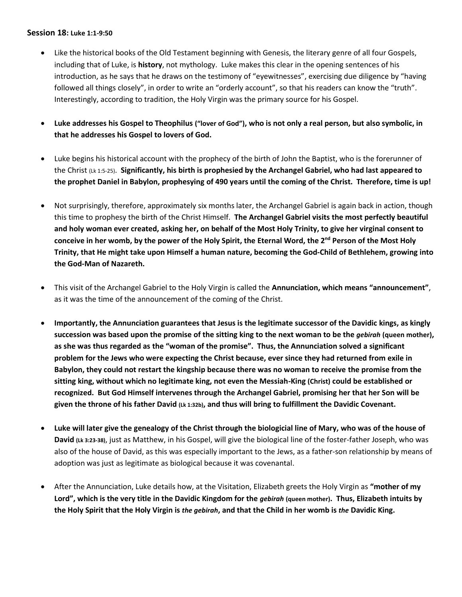## **Session 18: Luke 1:1-9:50**

- Like the historical books of the Old Testament beginning with Genesis, the literary genre of all four Gospels, including that of Luke, is **history**, not mythology. Luke makes this clear in the opening sentences of his introduction, as he says that he draws on the testimony of "eyewitnesses", exercising due diligence by "having followed all things closely", in order to write an "orderly account", so that his readers can know the "truth". Interestingly, according to tradition, the Holy Virgin was the primary source for his Gospel.
- **Luke addresses his Gospel to Theophilus ("lover of God"), who is not only a real person, but also symbolic, in that he addresses his Gospel to lovers of God.**
- Luke begins his historical account with the prophecy of the birth of John the Baptist, who is the forerunner of the Christ (Lk 1:5-25). **Significantly, his birth is prophesied by the Archangel Gabriel, who had last appeared to the prophet Daniel in Babylon, prophesying of 490 years until the coming of the Christ. Therefore, time is up!**
- Not surprisingly, therefore, approximately six months later, the Archangel Gabriel is again back in action, though this time to prophesy the birth of the Christ Himself. **The Archangel Gabriel visits the most perfectly beautiful and holy woman ever created, asking her, on behalf of the Most Holy Trinity, to give her virginal consent to conceive in her womb, by the power of the Holy Spirit, the Eternal Word, the 2nd Person of the Most Holy Trinity, that He might take upon Himself a human nature, becoming the God-Child of Bethlehem, growing into the God-Man of Nazareth.**
- This visit of the Archangel Gabriel to the Holy Virgin is called the **Annunciation, which means "announcement"**, as it was the time of the announcement of the coming of the Christ.
- **Importantly, the Annunciation guarantees that Jesus is the legitimate successor of the Davidic kings, as kingly succession was based upon the promise of the sitting king to the next woman to be the** *gebirah* **(queen mother), as she was thus regarded as the "woman of the promise". Thus, the Annunciation solved a significant problem for the Jews who were expecting the Christ because, ever since they had returned from exile in Babylon, they could not restart the kingship because there was no woman to receive the promise from the sitting king, without which no legitimate king, not even the Messiah-King (Christ) could be established or recognized. But God Himself intervenes through the Archangel Gabriel, promising her that her Son will be given the throne of his father David (Lk 1:32b), and thus will bring to fulfillment the Davidic Covenant.**
- **Luke will later give the genealogy of the Christ through the biologicial line of Mary, who was of the house of David (Lk 3:23-38)**, just as Matthew, in his Gospel, will give the biological line of the foster-father Joseph, who was also of the house of David, as this was especially important to the Jews, as a father-son relationship by means of adoption was just as legitimate as biological because it was covenantal.
- After the Annunciation, Luke details how, at the Visitation, Elizabeth greets the Holy Virgin as **"mother of my Lord", which is the very title in the Davidic Kingdom for the** *gebirah* **(queen mother). Thus, Elizabeth intuits by the Holy Spirit that the Holy Virgin is** *the gebirah***, and that the Child in her womb is** *the* **Davidic King.**